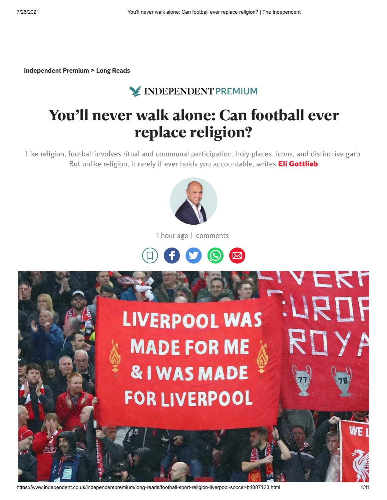[Independent](https://www.independent.co.uk/independentpremium) Premium > Long [Reads](https://www.independent.co.uk/independentpremium/long-reads)

## X INDEPENDENT PREMIUM

## **You'll never walk alone: Can football ever replace religion?**

Like religion, football involves ritual and communal participation, holy places, icons, and distinctive garb. But unlike religion, it rarely if ever holds you accountable, writes **Eli [Gottlieb](https://www.independent.co.uk/author/eli-gottlieb)**



1 hour ago | comments





https://www.independent.co.uk/independentpremium/long-reads/football-sport-religion-liverpool-soccer-b1887123.html 1/11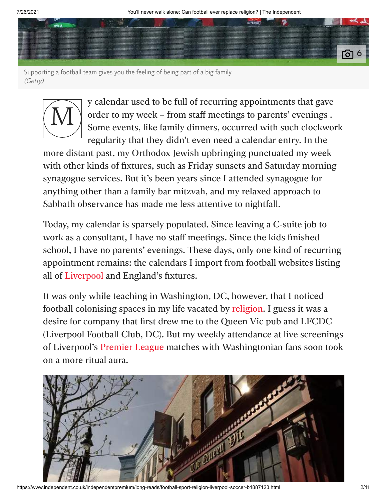

Supporting a football team gives you the feeling of being part of a big family (Getty)



y calendar used to be full of recurring appointments that gave order to my week – from staff meetings to parents' evenings . Some events, like family dinners, occurred with such clockwork regularity that they didn't even need a calendar entry. In the

more distant past, my Orthodox Jewish upbringing punctuated my week with other kinds of fixtures, such as Friday sunsets and Saturday morning synagogue services. But it's been years since I attended synagogue for anything other than a family bar mitzvah, and my relaxed approach to Sabbath observance has made me less attentive to nightfall.

Today, my calendar is sparsely populated. Since leaving a C-suite job to work as a consultant, I have no staff meetings. Since the kids finished school, I have no parents' evenings. These days, only one kind of recurring appointment remains: the calendars I import from football websites listing all of [Liverpool](https://www.independent.co.uk/topic/liverpool) and England's fixtures.

It was only while teaching in Washington, DC, however, that I noticed football colonising spaces in my life vacated by [religion](https://www.independent.co.uk/topic/religion). I guess it was a desire for company that first drew me to the Queen Vic pub and LFCDC (Liverpool Football Club, DC). But my weekly attendance at live screenings of Liverpool's [Premier](https://www.independent.co.uk/topic/premier-league) League matches with Washingtonian fans soon took on a more ritual aura.



https://www.independent.co.uk/independentpremium/long-reads/football-sport-religion-liverpool-soccer-b1887123.html 2/11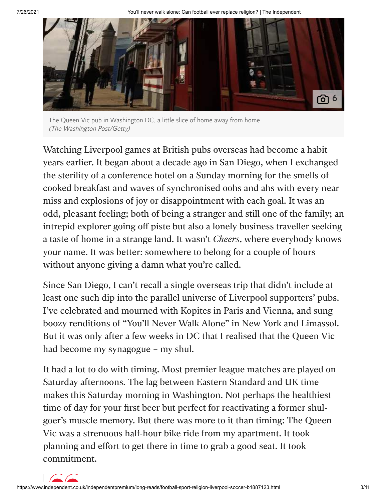

The Queen Vic pub in Washington DC, a little slice of home away from home (The Washington Post/Getty)

Watching Liverpool games at British pubs overseas had become a habit years earlier. It began about a decade ago in San Diego, when I exchanged the sterility of a conference hotel on a Sunday morning for the smells of cooked breakfast and waves of synchronised oohs and ahs with every near miss and explosions of joy or disappointment with each goal. It was an odd, pleasant feeling; both of being a stranger and still one of the family; an intrepid explorer going off piste but also a lonely business traveller seeking a taste of home in a strange land. It wasn't *Cheers*, where everybody knows your name. It was better: somewhere to belong for a couple of hours without anyone giving a damn what you're called.

Since San Diego, I can't recall a single overseas trip that didn't include at least one such dip into the parallel universe of Liverpool supporters' pubs. I've celebrated and mourned with Kopites in Paris and Vienna, and sung boozy renditions of "You'll Never Walk Alone" in New York and Limassol. But it was only after a few weeks in DC that I realised that the Queen Vic had become my synagogue – my shul.

It had a lot to do with timing. Most premier league matches are played on Saturday afternoons. The lag between Eastern Standard and UK time makes this Saturday morning in Washington. Not perhaps the healthiest time of day for your first beer but perfect for reactivating a former shulgoer's muscle memory. But there was more to it than timing: The Queen Vic was a strenuous half-hour bike ride from my apartment. It took planning and effort to get there in time to grab a good seat. It took commitment.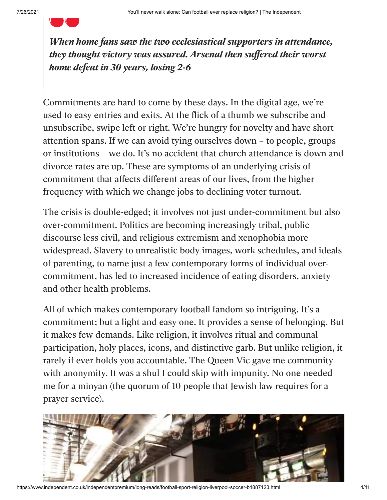*When home fans saw the two ecclesiastical supporters in attendance, they thought victory was assured. Arsenal then suffered their worst home defeat in 30 years, losing 2-6*

Commitments are hard to come by these days. In the digital age, we're used to easy entries and exits. At the flick of a thumb we subscribe and unsubscribe, swipe left or right. We're hungry for novelty and have short attention spans. If we can avoid tying ourselves down – to people, groups or institutions – we do. It's no accident that church attendance is down and divorce rates are up. These are symptoms of an underlying crisis of commitment that affects different areas of our lives, from the higher frequency with which we change jobs to declining voter turnout.

The crisis is double-edged; it involves not just under-commitment but also over-commitment. Politics are becoming increasingly tribal, public discourse less civil, and religious extremism and xenophobia more widespread. Slavery to unrealistic body images, work schedules, and ideals of parenting, to name just a few contemporary forms of individual overcommitment, has led to increased incidence of eating disorders, anxiety and other health problems.

All of which makes contemporary football fandom so intriguing. It's a commitment; but a light and easy one. It provides a sense of belonging. But it makes few demands. Like religion, it involves ritual and communal participation, holy places, icons, and distinctive garb. But unlike religion, it rarely if ever holds you accountable. The Queen Vic gave me community with anonymity. It was a shul I could skip with impunity. No one needed me for a minyan (the quorum of 10 people that Jewish law requires for a prayer service).



https://www.independent.co.uk/independentpremium/long-reads/football-sport-religion-liverpool-soccer-b1887123.html 4/11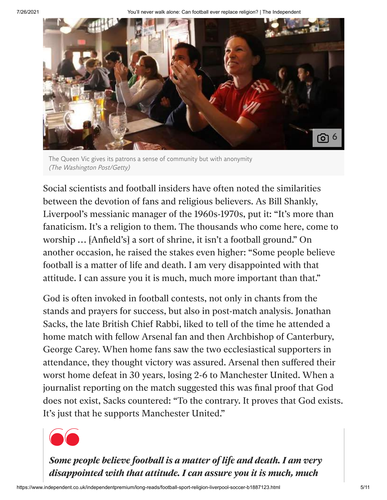7/26/2021 You'll never walk alone: Can football ever replace religion? | The Independent



The Queen Vic gives its patrons a sense of community but with anonymity (The Washington Post/Getty)

Social scientists and football insiders have often noted the similarities between the devotion of fans and religious believers. As Bill Shankly, Liverpool's messianic manager of the 1960s-1970s, put it: "It's more than fanaticism. It's a religion to them. The thousands who come here, come to worship … [Anfield's] a sort of shrine, it isn't a football ground." On another occasion, he raised the stakes even higher: "Some people believe football is a matter of life and death. I am very disappointed with that attitude. I can assure you it is much, much more important than that."

God is often invoked in football contests, not only in chants from the stands and prayers for success, but also in post-match analysis. Jonathan Sacks, the late British Chief Rabbi, liked to tell of the time he attended a home match with fellow Arsenal fan and then Archbishop of Canterbury, George Carey. When home fans saw the two ecclesiastical supporters in attendance, they thought victory was assured. Arsenal then suffered their worst home defeat in 30 years, losing 2-6 to Manchester United. When a journalist reporting on the match suggested this was final proof that God does not exist, Sacks countered: "To the contrary. It proves that God exists. It's just that he supports Manchester United."



*Some people believe football is a matter of life and death. I am very disappointed with that attitude. I can assure you it is much, much*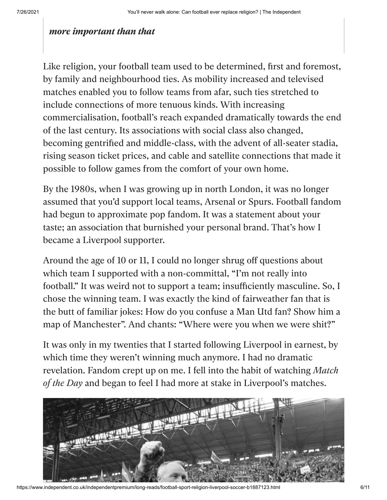## *more important than that*

Like religion, your football team used to be determined, first and foremost, by family and neighbourhood ties. As mobility increased and televised matches enabled you to follow teams from afar, such ties stretched to include connections of more tenuous kinds. With increasing commercialisation, football's reach expanded dramatically towards the end of the last century. Its associations with social class also changed, becoming gentrified and middle-class, with the advent of all-seater stadia, rising season ticket prices, and cable and satellite connections that made it possible to follow games from the comfort of your own home.

By the 1980s, when I was growing up in north London, it was no longer assumed that you'd support local teams, Arsenal or Spurs. Football fandom had begun to approximate pop fandom. It was a statement about your taste; an association that burnished your personal brand. That's how I became a Liverpool supporter.

Around the age of 10 or 11, I could no longer shrug off questions about which team I supported with a non-committal, "I'm not really into football." It was weird not to support a team; insufficiently masculine. So, I chose the winning team. I was exactly the kind of fairweather fan that is the butt of familiar jokes: How do you confuse a Man Utd fan? Show him a map of Manchester". And chants: "Where were you when we were shit?"

It was only in my twenties that I started following Liverpool in earnest, by which time they weren't winning much anymore. I had no dramatic revelation. Fandom crept up on me. I fell into the habit of watching *Match of the Day* and began to feel I had more at stake in Liverpool's matches.



https://www.independent.co.uk/independentpremium/long-reads/football-sport-religion-liverpool-soccer-b1887123.html 6/11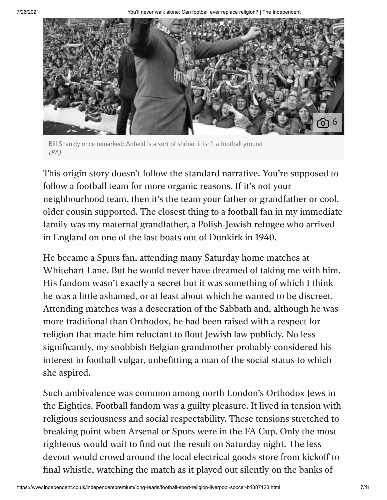

Bill Shankly once remarked: Anfield is a sort of shrine, it isn't a football ground (PA)

This origin story doesn't follow the standard narrative. You're supposed to follow a football team for more organic reasons. If it's not your neighbourhood team, then it's the team your father or grandfather or cool, older cousin supported. The closest thing to a football fan in my immediate family was my maternal grandfather, a Polish-Jewish refugee who arrived in England on one of the last boats out of Dunkirk in 1940.

He became a Spurs fan, attending many Saturday home matches at Whitehart Lane. But he would never have dreamed of taking me with him. His fandom wasn't exactly a secret but it was something of which I think he was a little ashamed, or at least about which he wanted to be discreet. Attending matches was a desecration of the Sabbath and, although he was more traditional than Orthodox, he had been raised with a respect for religion that made him reluctant to flout Jewish law publicly. No less significantly, my snobbish Belgian grandmother probably considered his interest in football vulgar, unbefitting a man of the social status to which she aspired.

Such ambivalence was common among north London's Orthodox Jews in the Eighties. Football fandom was a guilty pleasure. It lived in tension with religious seriousness and social respectability. These tensions stretched to breaking point when Arsenal or Spurs were in the FA Cup. Only the most righteous would wait to find out the result on Saturday night. The less devout would crowd around the local electrical goods store from kickoff to final whistle, watching the match as it played out silently on the banks of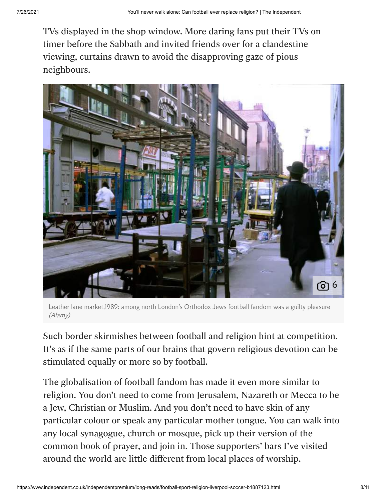TVs displayed in the shop window. More daring fans put their TVs on timer before the Sabbath and invited friends over for a clandestine viewing, curtains drawn to avoid the disapproving gaze of pious neighbours.



Leather lane market,1989: among north London's Orthodox Jews football fandom was a guilty pleasure (Alamy)

Such border skirmishes between football and religion hint at competition. It's as if the same parts of our brains that govern religious devotion can be stimulated equally or more so by football.

The globalisation of football fandom has made it even more similar to religion. You don't need to come from Jerusalem, Nazareth or Mecca to be a Jew, Christian or Muslim. And you don't need to have skin of any particular colour or speak any particular mother tongue. You can walk into any local synagogue, church or mosque, pick up their version of the common book of prayer, and join in. Those supporters' bars I've visited around the world are little different from local places of worship.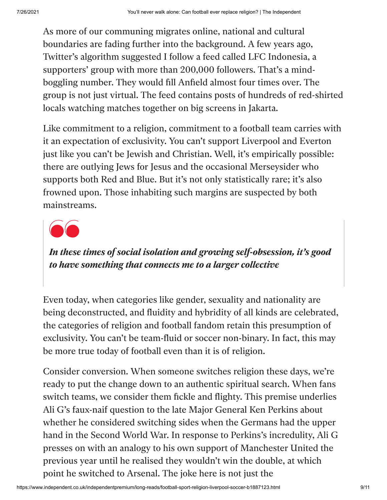As more of our communing migrates online, national and cultural boundaries are fading further into the background. A few years ago, Twitter's algorithm suggested I follow a feed called LFC Indonesia, a supporters' group with more than 200,000 followers. That's a mindboggling number. They would fill Anfield almost four times over. The group is not just virtual. The feed contains posts of hundreds of red-shirted locals watching matches together on big screens in Jakarta.

Like commitment to a religion, commitment to a football team carries with it an expectation of exclusivity. You can't support Liverpool and Everton just like you can't be Jewish and Christian. Well, it's empirically possible: there are outlying Jews for Jesus and the occasional Merseysider who supports both Red and Blue. But it's not only statistically rare; it's also frowned upon. Those inhabiting such margins are suspected by both mainstreams.

*In these times of social isolation and growing self-obsession, it's good to have something that connects me to a larger collective*

Even today, when categories like gender, sexuality and nationality are being deconstructed, and fluidity and hybridity of all kinds are celebrated, the categories of religion and football fandom retain this presumption of exclusivity. You can't be team-fluid or soccer non-binary. In fact, this may be more true today of football even than it is of religion.

Consider conversion. When someone switches religion these days, we're ready to put the change down to an authentic spiritual search. When fans switch teams, we consider them fickle and flighty. This premise underlies Ali G's faux-naif question to the late Major General Ken Perkins about whether he considered switching sides when the Germans had the upper hand in the Second World War. In response to Perkins's incredulity, Ali G presses on with an analogy to his own support of Manchester United the previous year until he realised they wouldn't win the double, at which point he switched to Arsenal. The joke here is not just the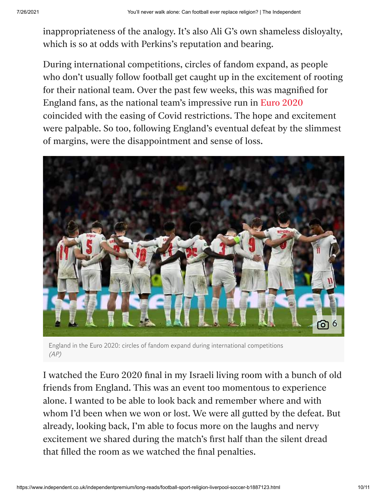inappropriateness of the analogy. It's also Ali G's own shameless disloyalty, which is so at odds with Perkins's reputation and bearing.

During international competitions, circles of fandom expand, as people who don't usually follow football get caught up in the excitement of rooting for their national team. Over the past few weeks, this was magnified for England fans, as the national team's impressive run in Euro [2020](https://www.independent.co.uk/topic/euro-2020) coincided with the easing of Covid restrictions. The hope and excitement were palpable. So too, following England's eventual defeat by the slimmest of margins, were the disappointment and sense of loss.



England in the Euro 2020: circles of fandom expand during international competitions (AP)

I watched the Euro 2020 final in my Israeli living room with a bunch of old friends from England. This was an event too momentous to experience alone. I wanted to be able to look back and remember where and with whom I'd been when we won or lost. We were all gutted by the defeat. But already, looking back, I'm able to focus more on the laughs and nervy excitement we shared during the match's first half than the silent dread that filled the room as we watched the final penalties.